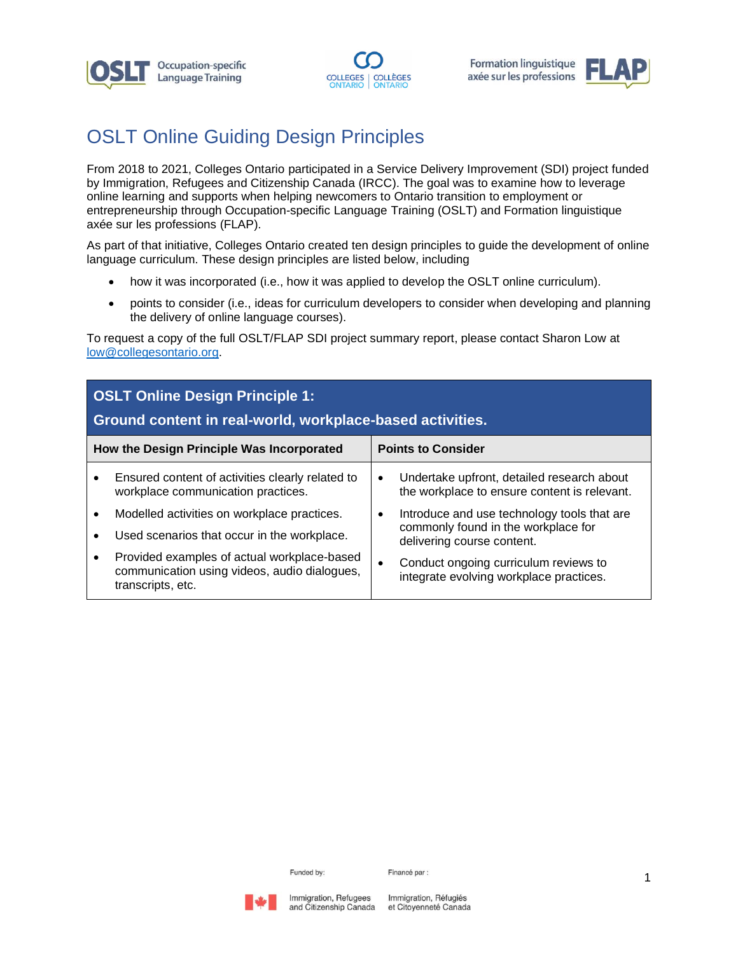





# OSLT Online Guiding Design Principles

From 2018 to 2021, Colleges Ontario participated in a Service Delivery Improvement (SDI) project funded by Immigration, Refugees and Citizenship Canada (IRCC). The goal was to examine how to leverage online learning and supports when helping newcomers to Ontario transition to employment or entrepreneurship through Occupation-specific Language Training (OSLT) and Formation linguistique axée sur les professions (FLAP).

As part of that initiative, Colleges Ontario created ten design principles to guide the development of online language curriculum. These design principles are listed below, including

- how it was incorporated (i.e., how it was applied to develop the OSLT online curriculum).
- points to consider (i.e., ideas for curriculum developers to consider when developing and planning the delivery of online language courses).

To request a copy of the full OSLT/FLAP SDI project summary report, please contact Sharon Low at [low@collegesontario.org.](mailto:low@collegesontario.org)

| <b>OSLT Online Design Principle 1:</b><br>Ground content in real-world, workplace-based activities. |                                                                                                                  |                           |                                                                                            |
|-----------------------------------------------------------------------------------------------------|------------------------------------------------------------------------------------------------------------------|---------------------------|--------------------------------------------------------------------------------------------|
| How the Design Principle Was Incorporated                                                           |                                                                                                                  | <b>Points to Consider</b> |                                                                                            |
| $\bullet$                                                                                           | Ensured content of activities clearly related to<br>workplace communication practices.                           | $\bullet$                 | Undertake upfront, detailed research about<br>the workplace to ensure content is relevant. |
| $\bullet$                                                                                           | Modelled activities on workplace practices.                                                                      |                           | Introduce and use technology tools that are                                                |
| $\bullet$                                                                                           | Used scenarios that occur in the workplace.                                                                      |                           | commonly found in the workplace for<br>delivering course content.                          |
| $\bullet$                                                                                           | Provided examples of actual workplace-based<br>communication using videos, audio dialogues,<br>transcripts, etc. |                           | Conduct ongoing curriculum reviews to<br>integrate evolving workplace practices.           |

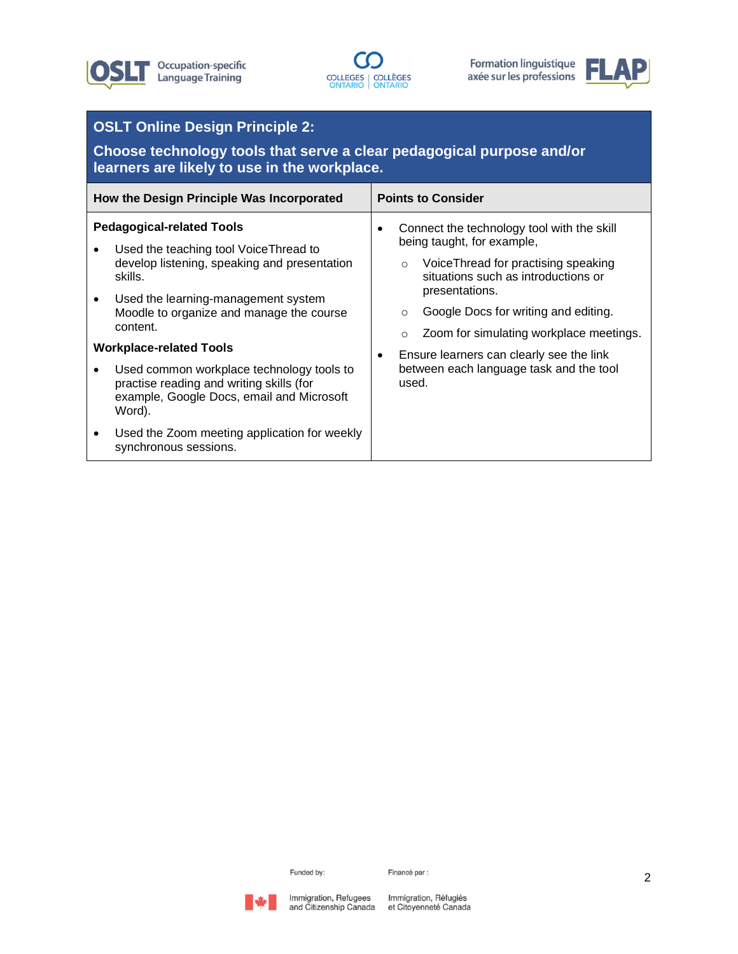





# **OSLT Online Design Principle 2:**

**Choose technology tools that serve a clear pedagogical purpose and/or learners are likely to use in the workplace.**

| How the Design Principle Was Incorporated                                                                                                                                                                                                                                                                            | <b>Points to Consider</b>                                                                                                                                                                             |  |
|----------------------------------------------------------------------------------------------------------------------------------------------------------------------------------------------------------------------------------------------------------------------------------------------------------------------|-------------------------------------------------------------------------------------------------------------------------------------------------------------------------------------------------------|--|
| <b>Pedagogical-related Tools</b><br>Used the teaching tool Voice Thread to<br>develop listening, speaking and presentation<br>skills.<br>Used the learning-management system                                                                                                                                         | Connect the technology tool with the skill<br>being taught, for example,<br>VoiceThread for practising speaking<br>$\circ$<br>situations such as introductions or<br>presentations.                   |  |
| Moodle to organize and manage the course<br>content.<br><b>Workplace-related Tools</b><br>Used common workplace technology tools to<br>practise reading and writing skills (for<br>example, Google Docs, email and Microsoft<br>Word).<br>Used the Zoom meeting application for weekly<br>٠<br>synchronous sessions. | Google Docs for writing and editing.<br>$\circ$<br>Zoom for simulating workplace meetings.<br>$\circ$<br>Ensure learners can clearly see the link<br>between each language task and the tool<br>used. |  |

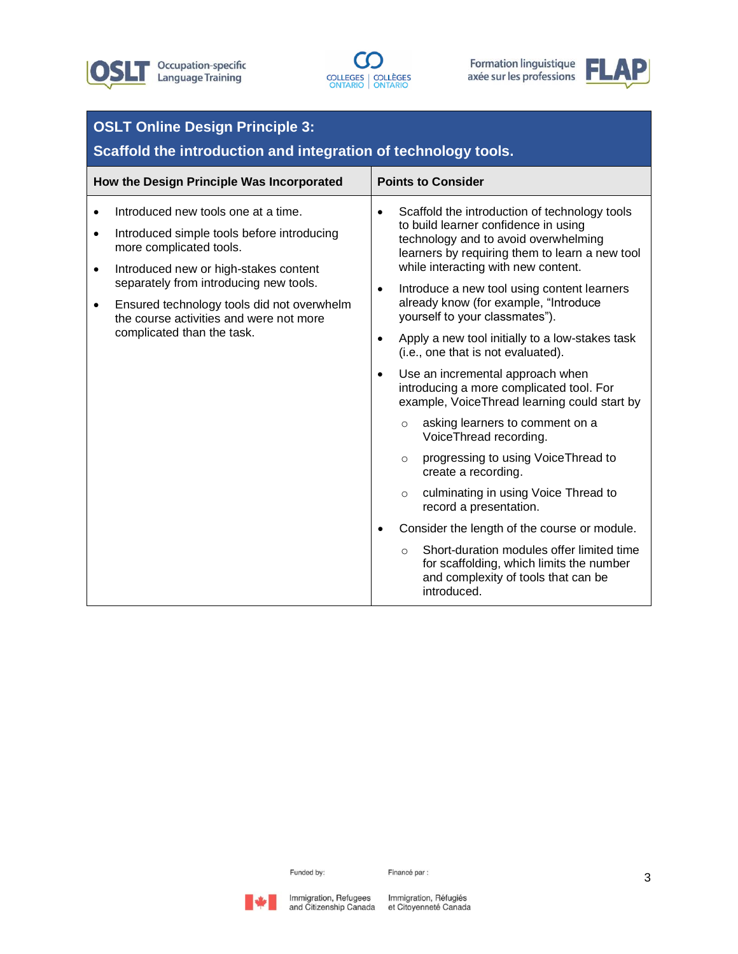





| <b>OSLT Online Design Principle 3:</b><br>Scaffold the introduction and integration of technology tools.                                                                                                                                                                                                                                                                   |                                                                                                                                                                                                                                                                                                                                                                                                                                                                                                                                                                                                                                                                                                                                                                                                                                                                                                                                                                                                                                                                        |  |  |
|----------------------------------------------------------------------------------------------------------------------------------------------------------------------------------------------------------------------------------------------------------------------------------------------------------------------------------------------------------------------------|------------------------------------------------------------------------------------------------------------------------------------------------------------------------------------------------------------------------------------------------------------------------------------------------------------------------------------------------------------------------------------------------------------------------------------------------------------------------------------------------------------------------------------------------------------------------------------------------------------------------------------------------------------------------------------------------------------------------------------------------------------------------------------------------------------------------------------------------------------------------------------------------------------------------------------------------------------------------------------------------------------------------------------------------------------------------|--|--|
| How the Design Principle Was Incorporated                                                                                                                                                                                                                                                                                                                                  | <b>Points to Consider</b>                                                                                                                                                                                                                                                                                                                                                                                                                                                                                                                                                                                                                                                                                                                                                                                                                                                                                                                                                                                                                                              |  |  |
| Introduced new tools one at a time.<br>$\bullet$<br>Introduced simple tools before introducing<br>$\bullet$<br>more complicated tools.<br>Introduced new or high-stakes content<br>$\bullet$<br>separately from introducing new tools.<br>Ensured technology tools did not overwhelm<br>$\bullet$<br>the course activities and were not more<br>complicated than the task. | Scaffold the introduction of technology tools<br>$\bullet$<br>to build learner confidence in using<br>technology and to avoid overwhelming<br>learners by requiring them to learn a new tool<br>while interacting with new content.<br>Introduce a new tool using content learners<br>$\bullet$<br>already know (for example, "Introduce<br>yourself to your classmates").<br>Apply a new tool initially to a low-stakes task<br>$\bullet$<br>(i.e., one that is not evaluated).<br>Use an incremental approach when<br>$\bullet$<br>introducing a more complicated tool. For<br>example, VoiceThread learning could start by<br>asking learners to comment on a<br>$\circ$<br>VoiceThread recording.<br>progressing to using Voice Thread to<br>$\circ$<br>create a recording.<br>culminating in using Voice Thread to<br>$\circ$<br>record a presentation.<br>Consider the length of the course or module.<br>Short-duration modules offer limited time<br>$\circ$<br>for scaffolding, which limits the number<br>and complexity of tools that can be<br>introduced. |  |  |

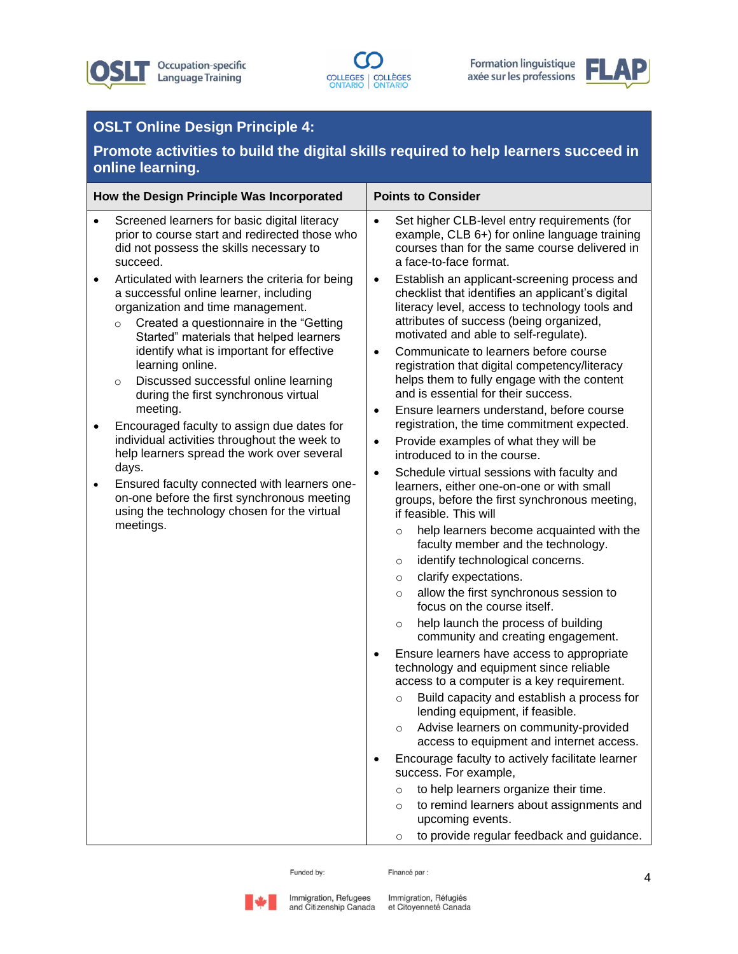





# **OSLT Online Design Principle 4:**

**Promote activities to build the digital skills required to help learners succeed in online learning.**

| How the Design Principle Was Incorporated |                                                                                                                                                                                                                                                                                                                                                                                                                                                                                                                                                                                                                                                                                                                         |                                                                            | <b>Points to Consider</b>                                                                                                                                                                                                                                                                                                                                                                                                                                                                                                                                                                                                                                                                                                                                                                                                                                                                                                                                                                                                                                                                                                                                                                                                                                                                                                                                                                                                                                                                                                                                                                         |  |
|-------------------------------------------|-------------------------------------------------------------------------------------------------------------------------------------------------------------------------------------------------------------------------------------------------------------------------------------------------------------------------------------------------------------------------------------------------------------------------------------------------------------------------------------------------------------------------------------------------------------------------------------------------------------------------------------------------------------------------------------------------------------------------|----------------------------------------------------------------------------|---------------------------------------------------------------------------------------------------------------------------------------------------------------------------------------------------------------------------------------------------------------------------------------------------------------------------------------------------------------------------------------------------------------------------------------------------------------------------------------------------------------------------------------------------------------------------------------------------------------------------------------------------------------------------------------------------------------------------------------------------------------------------------------------------------------------------------------------------------------------------------------------------------------------------------------------------------------------------------------------------------------------------------------------------------------------------------------------------------------------------------------------------------------------------------------------------------------------------------------------------------------------------------------------------------------------------------------------------------------------------------------------------------------------------------------------------------------------------------------------------------------------------------------------------------------------------------------------------|--|
|                                           | Screened learners for basic digital literacy<br>prior to course start and redirected those who<br>did not possess the skills necessary to<br>succeed.                                                                                                                                                                                                                                                                                                                                                                                                                                                                                                                                                                   | $\bullet$                                                                  | Set higher CLB-level entry requirements (for<br>example, CLB 6+) for online language training<br>courses than for the same course delivered in<br>a face-to-face format.                                                                                                                                                                                                                                                                                                                                                                                                                                                                                                                                                                                                                                                                                                                                                                                                                                                                                                                                                                                                                                                                                                                                                                                                                                                                                                                                                                                                                          |  |
| $\bullet$<br>$\bullet$                    | Articulated with learners the criteria for being<br>a successful online learner, including<br>organization and time management.<br>Created a questionnaire in the "Getting<br>$\circ$<br>Started" materials that helped learners<br>identify what is important for effective<br>learning online.<br>Discussed successful online learning<br>$\circ$<br>during the first synchronous virtual<br>meeting.<br>Encouraged faculty to assign due dates for<br>individual activities throughout the week to<br>help learners spread the work over several<br>days.<br>Ensured faculty connected with learners one-<br>on-one before the first synchronous meeting<br>using the technology chosen for the virtual<br>meetings. | $\bullet$<br>$\bullet$<br>$\bullet$<br>$\bullet$<br>$\bullet$<br>$\bullet$ | Establish an applicant-screening process and<br>checklist that identifies an applicant's digital<br>literacy level, access to technology tools and<br>attributes of success (being organized,<br>motivated and able to self-regulate).<br>Communicate to learners before course<br>registration that digital competency/literacy<br>helps them to fully engage with the content<br>and is essential for their success.<br>Ensure learners understand, before course<br>registration, the time commitment expected.<br>Provide examples of what they will be<br>introduced to in the course.<br>Schedule virtual sessions with faculty and<br>learners, either one-on-one or with small<br>groups, before the first synchronous meeting,<br>if feasible. This will<br>help learners become acquainted with the<br>$\circ$<br>faculty member and the technology.<br>identify technological concerns.<br>$\circ$<br>clarify expectations.<br>$\circ$<br>allow the first synchronous session to<br>$\circ$<br>focus on the course itself.<br>help launch the process of building<br>$\circ$<br>community and creating engagement.<br>Ensure learners have access to appropriate<br>technology and equipment since reliable<br>access to a computer is a key requirement.<br>Build capacity and establish a process for<br>$\circ$<br>lending equipment, if feasible.<br>Advise learners on community-provided<br>$\circ$<br>access to equipment and internet access.<br>Encourage faculty to actively facilitate learner<br>success. For example,<br>to help learners organize their time.<br>$\circ$ |  |
|                                           |                                                                                                                                                                                                                                                                                                                                                                                                                                                                                                                                                                                                                                                                                                                         |                                                                            | to remind learners about assignments and<br>$\circ$<br>upcoming events.                                                                                                                                                                                                                                                                                                                                                                                                                                                                                                                                                                                                                                                                                                                                                                                                                                                                                                                                                                                                                                                                                                                                                                                                                                                                                                                                                                                                                                                                                                                           |  |
|                                           |                                                                                                                                                                                                                                                                                                                                                                                                                                                                                                                                                                                                                                                                                                                         |                                                                            | to provide regular feedback and guidance.<br>$\circ$                                                                                                                                                                                                                                                                                                                                                                                                                                                                                                                                                                                                                                                                                                                                                                                                                                                                                                                                                                                                                                                                                                                                                                                                                                                                                                                                                                                                                                                                                                                                              |  |

Funded by:

Financé par :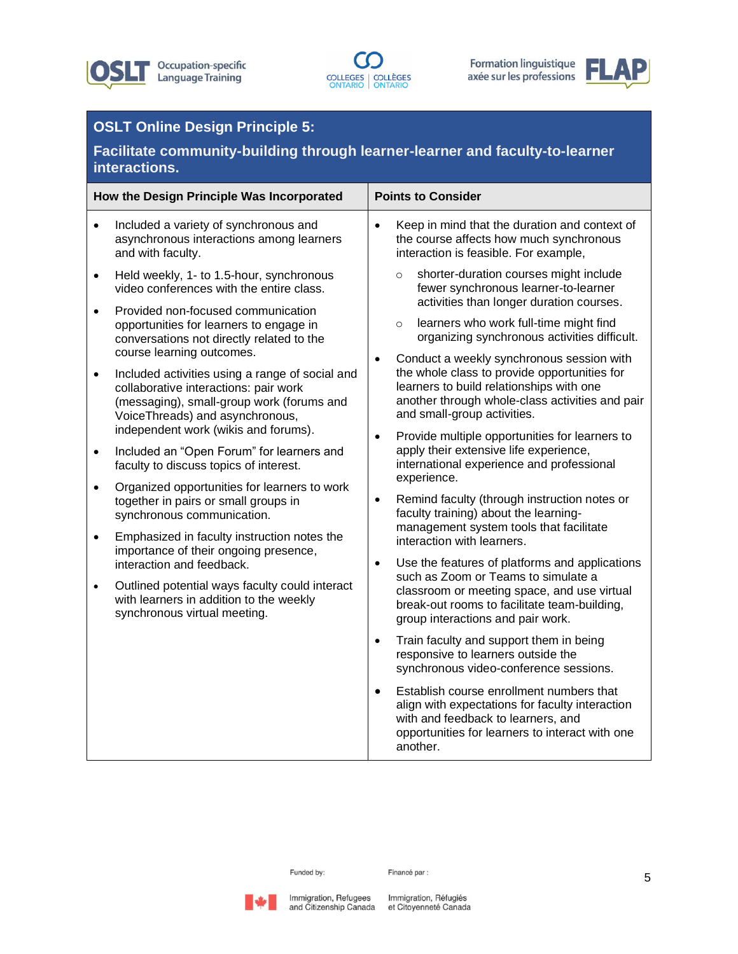





# **OSLT Online Design Principle 5:**

**Facilitate community-building through learner-learner and faculty-to-learner interactions.**

| How the Design Principle Was Incorporated |                                                                                                                                                                                                                  | <b>Points to Consider</b>                                                                                  |                                                                                                                                                                                                                         |                                                                                                                                  |
|-------------------------------------------|------------------------------------------------------------------------------------------------------------------------------------------------------------------------------------------------------------------|------------------------------------------------------------------------------------------------------------|-------------------------------------------------------------------------------------------------------------------------------------------------------------------------------------------------------------------------|----------------------------------------------------------------------------------------------------------------------------------|
|                                           | Included a variety of synchronous and<br>asynchronous interactions among learners<br>and with faculty.                                                                                                           | $\bullet$                                                                                                  | Keep in mind that the duration and context of<br>the course affects how much synchronous<br>interaction is feasible. For example,                                                                                       |                                                                                                                                  |
| $\bullet$                                 | Held weekly, 1- to 1.5-hour, synchronous<br>video conferences with the entire class.<br>Provided non-focused communication                                                                                       | $\circ$                                                                                                    | shorter-duration courses might include<br>fewer synchronous learner-to-learner<br>activities than longer duration courses.                                                                                              |                                                                                                                                  |
|                                           | opportunities for learners to engage in<br>conversations not directly related to the<br>course learning outcomes.                                                                                                |                                                                                                            | learners who work full-time might find<br>$\circ$<br>organizing synchronous activities difficult.                                                                                                                       |                                                                                                                                  |
|                                           | Included activities using a range of social and<br>collaborative interactions: pair work<br>(messaging), small-group work (forums and<br>VoiceThreads) and asynchronous,<br>independent work (wikis and forums). | $\bullet$                                                                                                  | Conduct a weekly synchronous session with<br>the whole class to provide opportunities for<br>learners to build relationships with one<br>another through whole-class activities and pair<br>and small-group activities. |                                                                                                                                  |
|                                           | Included an "Open Forum" for learners and<br>faculty to discuss topics of interest.                                                                                                                              | $\bullet$                                                                                                  | Provide multiple opportunities for learners to<br>apply their extensive life experience,<br>international experience and professional                                                                                   |                                                                                                                                  |
| $\bullet$                                 | Organized opportunities for learners to work<br>together in pairs or small groups in<br>synchronous communication.                                                                                               | experience.<br>$\bullet$<br>interaction with learners.<br>$\bullet$<br>such as Zoom or Teams to simulate a |                                                                                                                                                                                                                         | Remind faculty (through instruction notes or<br>faculty training) about the learning-<br>management system tools that facilitate |
|                                           | Emphasized in faculty instruction notes the<br>importance of their ongoing presence,<br>interaction and feedback.                                                                                                |                                                                                                            | Use the features of platforms and applications                                                                                                                                                                          |                                                                                                                                  |
|                                           | Outlined potential ways faculty could interact<br>with learners in addition to the weekly<br>synchronous virtual meeting.                                                                                        |                                                                                                            | classroom or meeting space, and use virtual<br>break-out rooms to facilitate team-building,<br>group interactions and pair work.                                                                                        |                                                                                                                                  |
|                                           |                                                                                                                                                                                                                  | $\bullet$                                                                                                  | Train faculty and support them in being<br>responsive to learners outside the<br>synchronous video-conference sessions.                                                                                                 |                                                                                                                                  |
|                                           |                                                                                                                                                                                                                  | $\bullet$                                                                                                  | Establish course enrollment numbers that<br>align with expectations for faculty interaction<br>with and feedback to learners, and<br>opportunities for learners to interact with one<br>another.                        |                                                                                                                                  |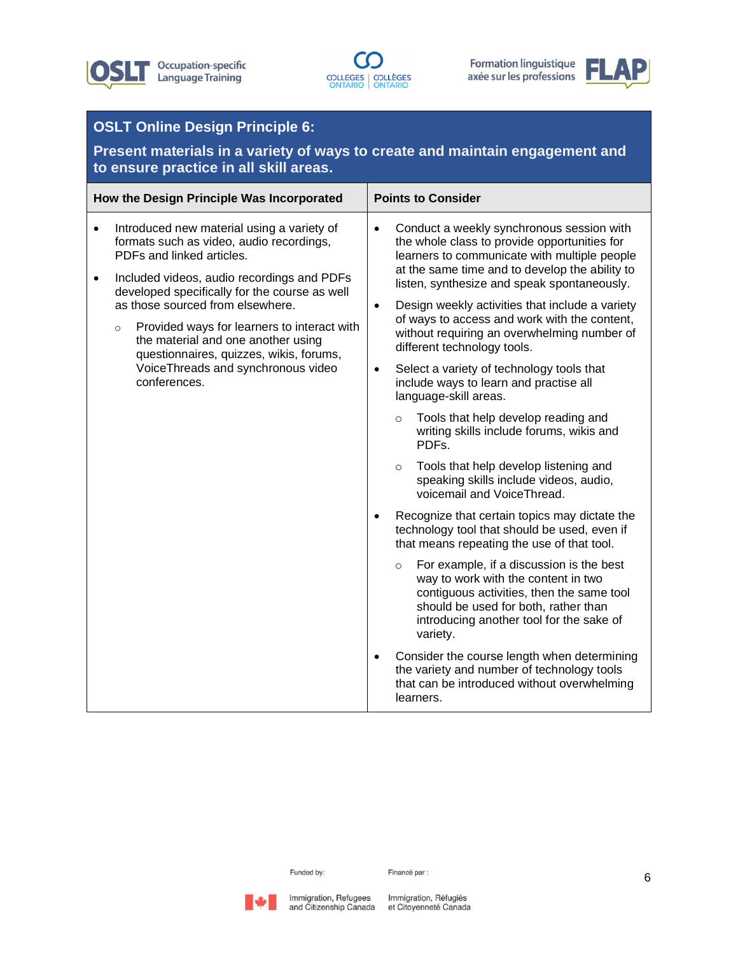





### **OSLT Online Design Principle 6:**

**Present materials in a variety of ways to create and maintain engagement and to ensure practice in all skill areas.**

| How the Design Principle Was Incorporated |                                                                                                                                                                                                                                   |           | <b>Points to Consider</b>                                                                                                                                                                                                                  |  |
|-------------------------------------------|-----------------------------------------------------------------------------------------------------------------------------------------------------------------------------------------------------------------------------------|-----------|--------------------------------------------------------------------------------------------------------------------------------------------------------------------------------------------------------------------------------------------|--|
| $\bullet$<br>$\bullet$                    | Introduced new material using a variety of<br>formats such as video, audio recordings,<br>PDFs and linked articles.<br>Included videos, audio recordings and PDFs<br>developed specifically for the course as well                | $\bullet$ | Conduct a weekly synchronous session with<br>the whole class to provide opportunities for<br>learners to communicate with multiple people<br>at the same time and to develop the ability to<br>listen, synthesize and speak spontaneously. |  |
|                                           | as those sourced from elsewhere.<br>Provided ways for learners to interact with<br>$\circ$<br>the material and one another using<br>questionnaires, quizzes, wikis, forums,<br>VoiceThreads and synchronous video<br>conferences. | $\bullet$ | Design weekly activities that include a variety<br>of ways to access and work with the content,<br>without requiring an overwhelming number of<br>different technology tools.                                                              |  |
|                                           |                                                                                                                                                                                                                                   | $\bullet$ | Select a variety of technology tools that<br>include ways to learn and practise all<br>language-skill areas.                                                                                                                               |  |
|                                           |                                                                                                                                                                                                                                   |           | Tools that help develop reading and<br>$\circ$<br>writing skills include forums, wikis and<br>PDFs.                                                                                                                                        |  |
|                                           | $\bullet$                                                                                                                                                                                                                         |           | Tools that help develop listening and<br>$\circ$<br>speaking skills include videos, audio,<br>voicemail and VoiceThread.                                                                                                                   |  |
|                                           |                                                                                                                                                                                                                                   |           | Recognize that certain topics may dictate the<br>technology tool that should be used, even if<br>that means repeating the use of that tool.                                                                                                |  |
|                                           |                                                                                                                                                                                                                                   |           | For example, if a discussion is the best<br>$\circ$<br>way to work with the content in two<br>contiguous activities, then the same tool<br>should be used for both, rather than<br>introducing another tool for the sake of<br>variety.    |  |
|                                           |                                                                                                                                                                                                                                   | $\bullet$ | Consider the course length when determining<br>the variety and number of technology tools<br>that can be introduced without overwhelming<br>learners.                                                                                      |  |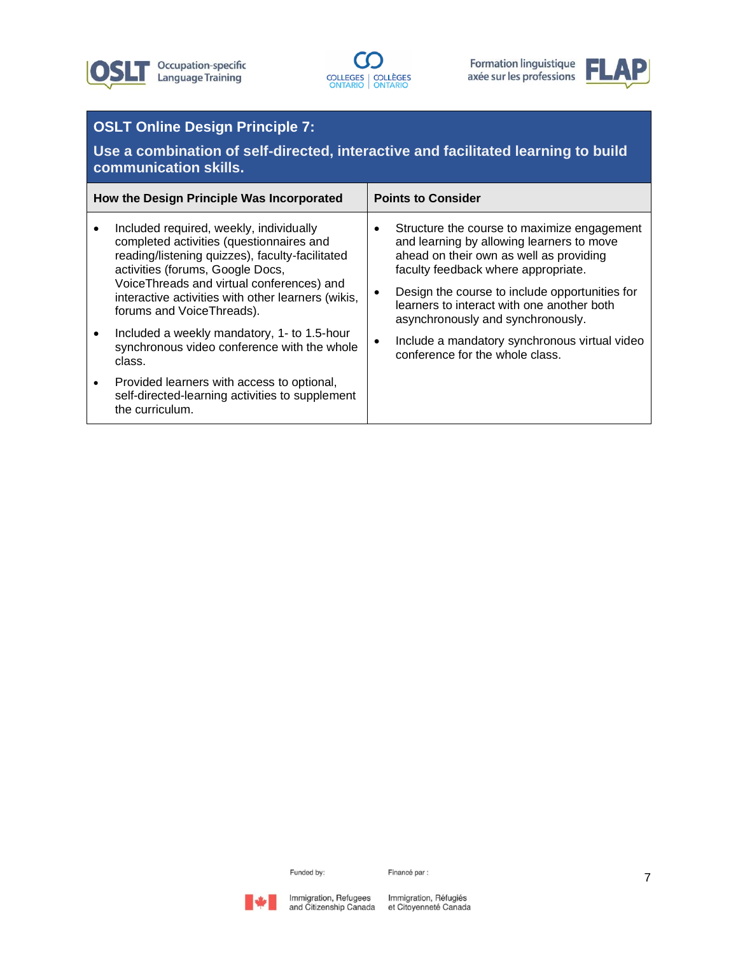





# **OSLT Online Design Principle 7:**

**Use a combination of self-directed, interactive and facilitated learning to build communication skills.**

| How the Design Principle Was Incorporated |                                                                                                                                                                                                                                                                                                             | <b>Points to Consider</b> |                                                                                                                                                                                                                                                                                                                 |
|-------------------------------------------|-------------------------------------------------------------------------------------------------------------------------------------------------------------------------------------------------------------------------------------------------------------------------------------------------------------|---------------------------|-----------------------------------------------------------------------------------------------------------------------------------------------------------------------------------------------------------------------------------------------------------------------------------------------------------------|
|                                           | Included required, weekly, individually<br>completed activities (questionnaires and<br>reading/listening quizzes), faculty-facilitated<br>activities (forums, Google Docs,<br>VoiceThreads and virtual conferences) and<br>interactive activities with other learners (wikis,<br>forums and Voice Threads). |                           | Structure the course to maximize engagement<br>and learning by allowing learners to move<br>ahead on their own as well as providing<br>faculty feedback where appropriate.<br>Design the course to include opportunities for<br>learners to interact with one another both<br>asynchronously and synchronously. |
|                                           | Included a weekly mandatory, 1- to 1.5-hour<br>synchronous video conference with the whole<br>class.                                                                                                                                                                                                        |                           | Include a mandatory synchronous virtual video<br>conference for the whole class.                                                                                                                                                                                                                                |
| $\bullet$                                 | Provided learners with access to optional,<br>self-directed-learning activities to supplement<br>the curriculum.                                                                                                                                                                                            |                           |                                                                                                                                                                                                                                                                                                                 |

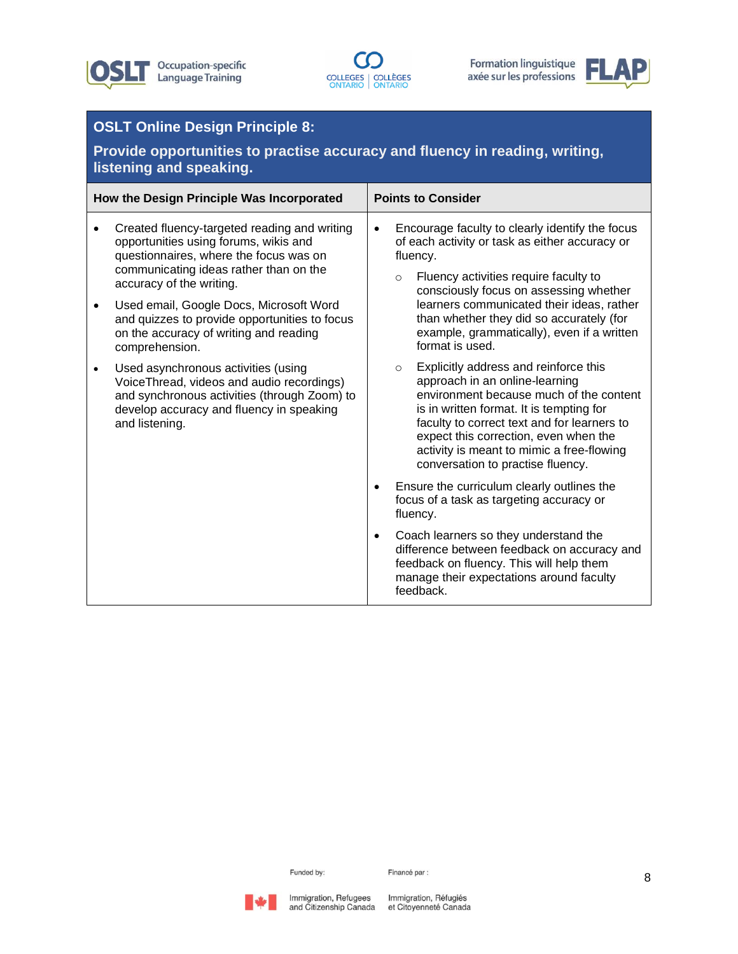





## **OSLT Online Design Principle 8:**

**Provide opportunities to practise accuracy and fluency in reading, writing, listening and speaking.**

| How the Design Principle Was Incorporated |                                                                                                                                                                                                                                                                                                                                                                                                                                                                                                                                                                 | <b>Points to Consider</b> |                                                                                                                                                                                                                                                                                                                                                                                                                                                                                                                                                                                                                                                                                                                                                                                                                                                                             |  |
|-------------------------------------------|-----------------------------------------------------------------------------------------------------------------------------------------------------------------------------------------------------------------------------------------------------------------------------------------------------------------------------------------------------------------------------------------------------------------------------------------------------------------------------------------------------------------------------------------------------------------|---------------------------|-----------------------------------------------------------------------------------------------------------------------------------------------------------------------------------------------------------------------------------------------------------------------------------------------------------------------------------------------------------------------------------------------------------------------------------------------------------------------------------------------------------------------------------------------------------------------------------------------------------------------------------------------------------------------------------------------------------------------------------------------------------------------------------------------------------------------------------------------------------------------------|--|
|                                           | Created fluency-targeted reading and writing<br>opportunities using forums, wikis and<br>questionnaires, where the focus was on<br>communicating ideas rather than on the<br>accuracy of the writing.<br>Used email, Google Docs, Microsoft Word<br>and quizzes to provide opportunities to focus<br>on the accuracy of writing and reading<br>comprehension.<br>Used asynchronous activities (using<br>VoiceThread, videos and audio recordings)<br>and synchronous activities (through Zoom) to<br>develop accuracy and fluency in speaking<br>and listening. | $\bullet$<br>$\bullet$    | Encourage faculty to clearly identify the focus<br>of each activity or task as either accuracy or<br>fluency.<br>Fluency activities require faculty to<br>$\circ$<br>consciously focus on assessing whether<br>learners communicated their ideas, rather<br>than whether they did so accurately (for<br>example, grammatically), even if a written<br>format is used.<br>Explicitly address and reinforce this<br>$\circ$<br>approach in an online-learning<br>environment because much of the content<br>is in written format. It is tempting for<br>faculty to correct text and for learners to<br>expect this correction, even when the<br>activity is meant to mimic a free-flowing<br>conversation to practise fluency.<br>Ensure the curriculum clearly outlines the<br>focus of a task as targeting accuracy or<br>fluency.<br>Coach learners so they understand the |  |
|                                           |                                                                                                                                                                                                                                                                                                                                                                                                                                                                                                                                                                 |                           | difference between feedback on accuracy and<br>feedback on fluency. This will help them<br>manage their expectations around faculty<br>feedback.                                                                                                                                                                                                                                                                                                                                                                                                                                                                                                                                                                                                                                                                                                                            |  |

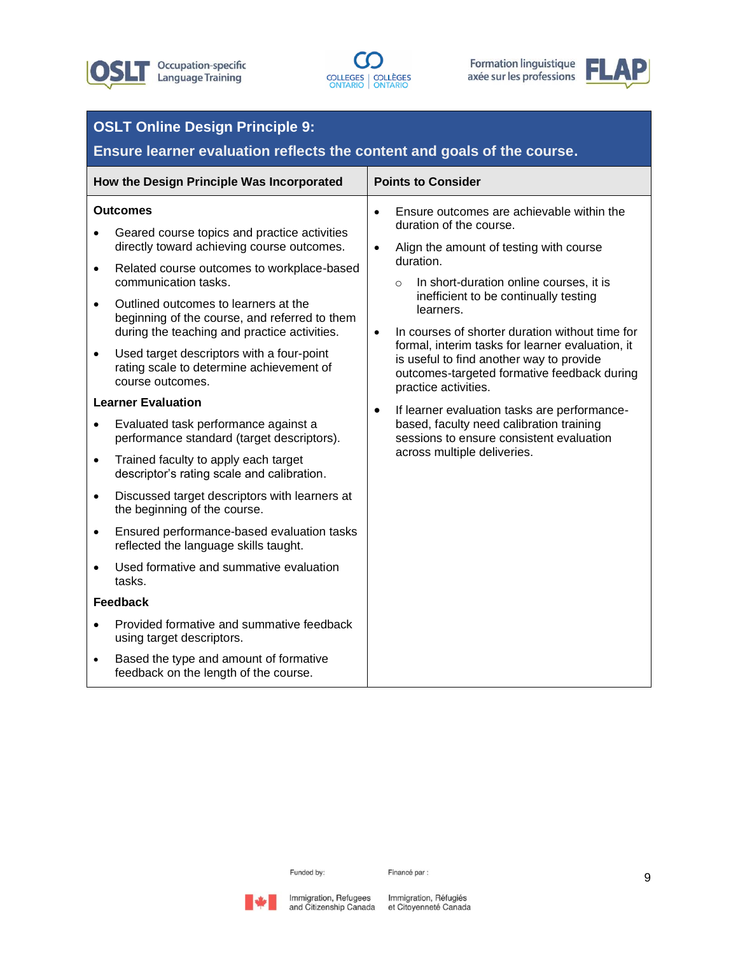





#### **OSLT Online Design Principle 9: Ensure learner evaluation reflects the content and goals of the course. How the Design Principle Was Incorporated Points to Consider Outcomes** • Geared course topics and practice activities directly toward achieving course outcomes. • Related course outcomes to workplace-based communication tasks. • Outlined outcomes to learners at the beginning of the course, and referred to them during the teaching and practice activities. • Used target descriptors with a four-point rating scale to determine achievement of course outcomes. **Learner Evaluation** • Evaluated task performance against a performance standard (target descriptors). • Trained faculty to apply each target descriptor's rating scale and calibration. • Discussed target descriptors with learners at the beginning of the course. • Ensured performance-based evaluation tasks reflected the language skills taught. • Used formative and summative evaluation tasks. **Feedback** • Provided formative and summative feedback using target descriptors. • Based the type and amount of formative feedback on the length of the course. • Ensure outcomes are achievable within the duration of the course. • Align the amount of testing with course duration. o In short-duration online courses, it is inefficient to be continually testing learners. • In courses of shorter duration without time for formal, interim tasks for learner evaluation, it is useful to find another way to provide outcomes-targeted formative feedback during practice activities. If learner evaluation tasks are performancebased, faculty need calibration training sessions to ensure consistent evaluation across multiple deliveries.

Funded by:



Immigration, Refugees Immigration, Réfugiés and Citizenship Canada et Citoyenneté Canada